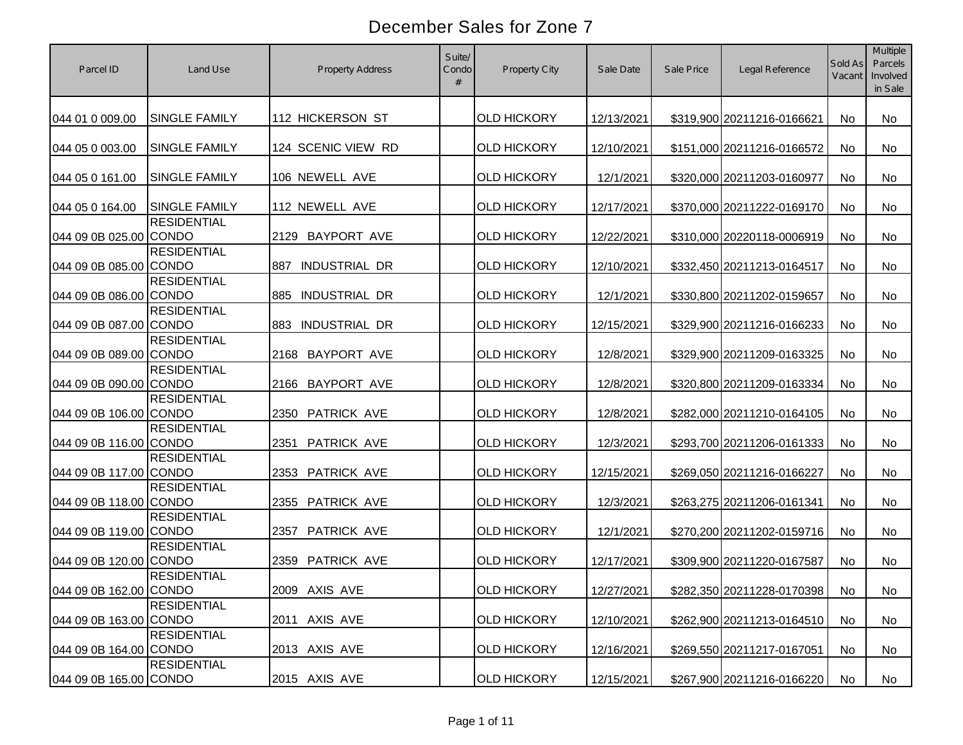| Parcel ID              | Land Use                           | <b>Property Address</b>     | Suite/<br>Condo<br># | <b>Property City</b> | Sale Date  | Sale Price | Legal Reference            | Sold As<br>Vacant | <b>Multiple</b><br>Parcels<br>Involved<br>in Sale |
|------------------------|------------------------------------|-----------------------------|----------------------|----------------------|------------|------------|----------------------------|-------------------|---------------------------------------------------|
| 044 01 0 009.00        | <b>SINGLE FAMILY</b>               | 112 HICKERSON ST            |                      | <b>OLD HICKORY</b>   | 12/13/2021 |            | \$319,900 20211216-0166621 | <b>No</b>         | No                                                |
| 044 05 0 003.00        | <b>SINGLE FAMILY</b>               | 124 SCENIC VIEW RD          |                      | <b>OLD HICKORY</b>   | 12/10/2021 |            | \$151,000 20211216-0166572 | No                | No                                                |
| 044 05 0 161.00        | <b>SINGLE FAMILY</b>               | 106 NEWELL AVE              |                      | <b>OLD HICKORY</b>   | 12/1/2021  |            | \$320,000 20211203-0160977 | <b>No</b>         | No                                                |
| 044 05 0 164.00        | <b>SINGLE FAMILY</b>               | 112 NEWELL AVE              |                      | <b>OLD HICKORY</b>   | 12/17/2021 |            | \$370,000 20211222-0169170 | <b>No</b>         | No                                                |
| 044 09 0B 025.00 CONDO | <b>RESIDENTIAL</b>                 | <b>BAYPORT AVE</b><br>2129  |                      | <b>OLD HICKORY</b>   | 12/22/2021 |            | \$310,000 20220118-0006919 | No                | No                                                |
| 044 09 0B 085.00 CONDO | <b>RESIDENTIAL</b>                 | <b>INDUSTRIAL DR</b><br>887 |                      | <b>OLD HICKORY</b>   | 12/10/2021 |            | \$332,450 20211213-0164517 | <b>No</b>         | <b>No</b>                                         |
| 044 09 0B 086.00 CONDO | <b>RESIDENTIAL</b>                 | <b>INDUSTRIAL DR</b><br>885 |                      | <b>OLD HICKORY</b>   | 12/1/2021  |            | \$330,800 20211202-0159657 | <b>No</b>         | No                                                |
| 044 09 0B 087.00       | <b>RESIDENTIAL</b><br><b>CONDO</b> | <b>INDUSTRIAL DR</b><br>883 |                      | <b>OLD HICKORY</b>   | 12/15/2021 |            | \$329,900 20211216-0166233 | <b>No</b>         | No                                                |
| 044 09 0B 089.00 CONDO | <b>RESIDENTIAL</b>                 | <b>BAYPORT AVE</b><br>2168  |                      | <b>OLD HICKORY</b>   | 12/8/2021  |            | \$329,900 20211209-0163325 | <b>No</b>         | No                                                |
| 044 09 0B 090.00 CONDO | <b>RESIDENTIAL</b>                 | <b>BAYPORT AVE</b><br>2166  |                      | <b>OLD HICKORY</b>   | 12/8/2021  |            | \$320,800 20211209-0163334 | <b>No</b>         | <b>No</b>                                         |
| 044 09 0B 106.00 CONDO | <b>RESIDENTIAL</b>                 | PATRICK AVE<br>2350         |                      | <b>OLD HICKORY</b>   | 12/8/2021  |            | \$282,000 20211210-0164105 | <b>No</b>         | No                                                |
| 044 09 0B 116.00 CONDO | <b>RESIDENTIAL</b>                 | <b>PATRICK AVE</b><br>2351  |                      | <b>OLD HICKORY</b>   | 12/3/2021  |            | \$293,700 20211206-0161333 | <b>No</b>         | No                                                |
| 044 09 0B 117.00 CONDO | <b>RESIDENTIAL</b>                 | PATRICK AVE<br>2353         |                      | <b>OLD HICKORY</b>   | 12/15/2021 |            | \$269,050 20211216-0166227 | <b>No</b>         | No                                                |
| 044 09 0B 118.00 CONDO | <b>RESIDENTIAL</b>                 | 2355<br><b>PATRICK AVE</b>  |                      | <b>OLD HICKORY</b>   | 12/3/2021  |            | \$263,275 20211206-0161341 | <b>No</b>         | No                                                |
| 044 09 0B 119.00 CONDO | <b>RESIDENTIAL</b>                 | <b>PATRICK AVE</b><br>2357  |                      | <b>OLD HICKORY</b>   | 12/1/2021  |            | \$270,200 20211202-0159716 | <b>No</b>         | No                                                |
| 044 09 0B 120.00 CONDO | <b>RESIDENTIAL</b>                 | <b>PATRICK AVE</b><br>2359  |                      | <b>OLD HICKORY</b>   | 12/17/2021 |            | \$309,900 20211220-0167587 | N <sub>o</sub>    | No.                                               |
| 044 09 0B 162.00 CONDO | <b>RESIDENTIAL</b>                 | 2009 AXIS AVE               |                      | <b>OLD HICKORY</b>   | 12/27/2021 |            | \$282,350 20211228-0170398 | No                | No                                                |
| 044 09 0B 163.00 CONDO | <b>RESIDENTIAL</b>                 | 2011 AXIS AVE               |                      | <b>OLD HICKORY</b>   | 12/10/2021 |            | \$262,900 20211213-0164510 | No                | No                                                |
| 044 09 0B 164.00 CONDO | <b>RESIDENTIAL</b>                 | 2013 AXIS AVE               |                      | <b>OLD HICKORY</b>   | 12/16/2021 |            | \$269,550 20211217-0167051 | No                | No                                                |
| 044 09 0B 165.00 CONDO | <b>RESIDENTIAL</b>                 | 2015 AXIS AVE               |                      | <b>OLD HICKORY</b>   | 12/15/2021 |            | \$267,900 20211216-0166220 | No                | No                                                |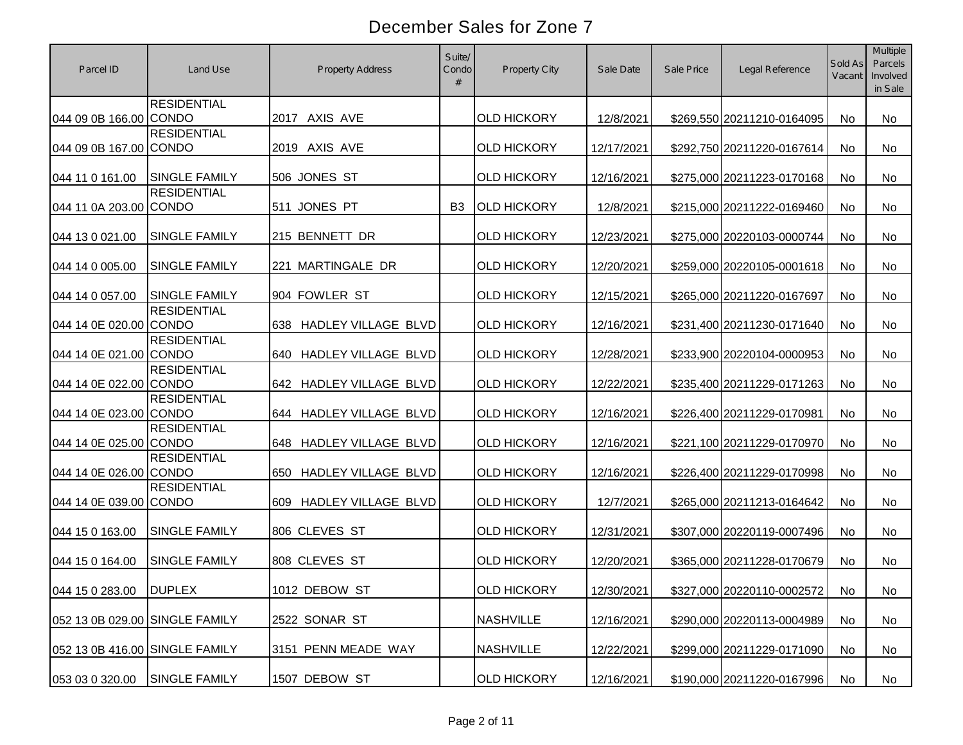| Parcel ID                      | Land Use             | Property Address                  | Suite/<br>Condo<br># | <b>Property City</b> | Sale Date  | Sale Price | Legal Reference            | Sold As<br>Vacant | <b>Multiple</b><br>Parcels<br>Involved<br>in Sale |
|--------------------------------|----------------------|-----------------------------------|----------------------|----------------------|------------|------------|----------------------------|-------------------|---------------------------------------------------|
| 044 09 0B 166.00 CONDO         | <b>RESIDENTIAL</b>   | 2017 AXIS AVE                     |                      | <b>OLD HICKORY</b>   | 12/8/2021  |            | \$269,550 20211210-0164095 | <b>No</b>         | <b>No</b>                                         |
| 044 09 0B 167.00 CONDO         | <b>RESIDENTIAL</b>   | 2019 AXIS AVE                     |                      | <b>OLD HICKORY</b>   | 12/17/2021 |            | \$292,750 20211220-0167614 | No.               | No                                                |
| 044 11 0 161.00                | <b>SINGLE FAMILY</b> | 506 JONES ST                      |                      | <b>OLD HICKORY</b>   | 12/16/2021 |            | \$275,000 20211223-0170168 | No                | No                                                |
| 044 11 0A 203.00 CONDO         | <b>RESIDENTIAL</b>   | 511 JONES PT                      | <b>B3</b>            | <b>OLD HICKORY</b>   | 12/8/2021  |            | \$215,000 20211222-0169460 | No                | No                                                |
| 044 13 0 021.00                | <b>SINGLE FAMILY</b> | 215 BENNETT DR                    |                      | <b>OLD HICKORY</b>   | 12/23/2021 |            | \$275,000 20220103-0000744 | No.               | No                                                |
| 044 14 0 005.00                | <b>SINGLE FAMILY</b> | 221 MARTINGALE DR                 |                      | <b>OLD HICKORY</b>   | 12/20/2021 |            | \$259,000 20220105-0001618 | No                | No                                                |
| 044 14 0 057.00                | <b>SINGLE FAMILY</b> | 904 FOWLER ST                     |                      | <b>OLD HICKORY</b>   | 12/15/2021 |            | \$265,000 20211220-0167697 | No                | No                                                |
| 044 14 0E 020.00 CONDO         | <b>RESIDENTIAL</b>   | HADLEY VILLAGE BLVD<br>638        |                      | <b>OLD HICKORY</b>   | 12/16/2021 |            | \$231,400 20211230-0171640 | No                | No                                                |
| 044 14 0E 021.00 CONDO         | <b>RESIDENTIAL</b>   | HADLEY VILLAGE BLVD<br>640        |                      | <b>OLD HICKORY</b>   | 12/28/2021 |            | \$233,900 20220104-0000953 | No                | <b>No</b>                                         |
| 044 14 0E 022.00 CONDO         | <b>RESIDENTIAL</b>   | <b>HADLEY VILLAGE BLVD</b><br>642 |                      | <b>OLD HICKORY</b>   | 12/22/2021 |            | \$235,400 20211229-0171263 | <b>No</b>         | No                                                |
| 044 14 0E 023.00 CONDO         | <b>RESIDENTIAL</b>   | HADLEY VILLAGE BLVD<br>644        |                      | <b>OLD HICKORY</b>   | 12/16/2021 |            | \$226,400 20211229-0170981 | No.               | No                                                |
| 044 14 0E 025.00 CONDO         | <b>RESIDENTIAL</b>   | <b>HADLEY VILLAGE BLVD</b><br>648 |                      | <b>OLD HICKORY</b>   | 12/16/2021 |            | \$221,100 20211229-0170970 | No                | <b>No</b>                                         |
| 044 14 0E 026.00 CONDO         | <b>RESIDENTIAL</b>   | HADLEY VILLAGE BLVD<br>650        |                      | <b>OLD HICKORY</b>   | 12/16/2021 |            | \$226,400 20211229-0170998 | No                | <b>No</b>                                         |
| 044 14 0E 039.00 CONDO         | <b>RESIDENTIAL</b>   | HADLEY VILLAGE BLVD<br>609        |                      | <b>OLD HICKORY</b>   | 12/7/2021  |            | \$265,000 20211213-0164642 | No.               | No                                                |
| 044 15 0 163.00                | <b>SINGLE FAMILY</b> | 806 CLEVES ST                     |                      | <b>OLD HICKORY</b>   | 12/31/2021 |            | \$307,000 20220119-0007496 | No                | <b>No</b>                                         |
| 044 15 0 164.00                | <b>SINGLE FAMILY</b> | 808 CLEVES ST                     |                      | <b>OLD HICKORY</b>   | 12/20/2021 |            | \$365,000 20211228-0170679 | No.               | <b>No</b>                                         |
| 044 15 0 283.00 DUPLEX         |                      | 1012 DEBOW ST                     |                      | <b>OLD HICKORY</b>   | 12/30/2021 |            | \$327,000 20220110-0002572 | No                | No                                                |
| 052 13 0B 029.00 SINGLE FAMILY |                      | 2522 SONAR ST                     |                      | <b>NASHVILLE</b>     | 12/16/2021 |            | \$290,000 20220113-0004989 | No                | No                                                |
| 052 13 0B 416.00 SINGLE FAMILY |                      | 3151 PENN MEADE WAY               |                      | <b>NASHVILLE</b>     | 12/22/2021 |            | \$299,000 20211229-0171090 | No                | No                                                |
| 053 03 0 320.00                | SINGLE FAMILY        | 1507 DEBOW ST                     |                      | <b>OLD HICKORY</b>   | 12/16/2021 |            | \$190,000 20211220-0167996 | No                | No                                                |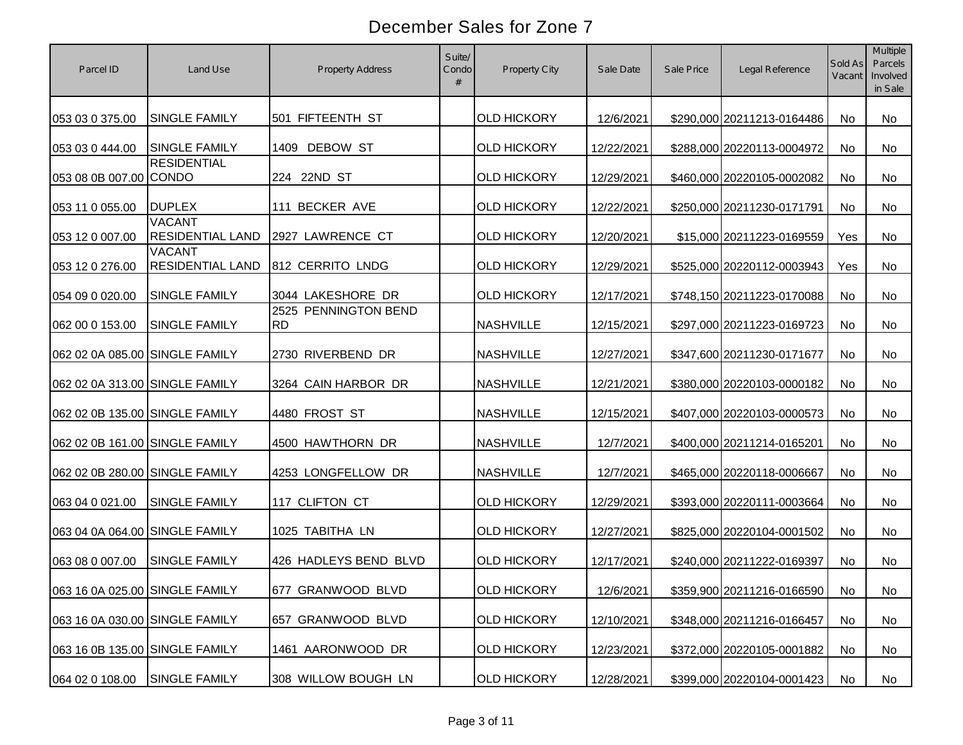| Parcel ID                      | Land Use                                 | <b>Property Address</b>           | Suite/<br>Condo<br># | Property City      | Sale Date  | Sale Price | Legal Reference            | Sold As<br>Vacant | <b>Multiple</b><br>Parcels<br>Involved<br>in Sale |
|--------------------------------|------------------------------------------|-----------------------------------|----------------------|--------------------|------------|------------|----------------------------|-------------------|---------------------------------------------------|
| 053 03 0 375.00                | <b>SINGLE FAMILY</b>                     | 501 FIFTEENTH ST                  |                      | <b>OLD HICKORY</b> | 12/6/2021  |            | \$290,000 20211213-0164486 | No                | No                                                |
| 053 03 0 444.00                | <b>SINGLE FAMILY</b>                     | 1409 DEBOW ST                     |                      | <b>OLD HICKORY</b> | 12/22/2021 |            | \$288,000 20220113-0004972 | No                | No                                                |
| 053 08 0B 007.00 CONDO         | <b>RESIDENTIAL</b>                       | 224 22ND ST                       |                      | <b>OLD HICKORY</b> | 12/29/2021 |            | \$460,000 20220105-0002082 | No                | No                                                |
| 053 11 0 055.00                | <b>DUPLEX</b>                            | 111 BECKER AVE                    |                      | <b>OLD HICKORY</b> | 12/22/2021 |            | \$250,000 20211230-0171791 | <b>No</b>         | No                                                |
| 053 12 0 007.00                | <b>VACANT</b><br><b>RESIDENTIAL LAND</b> | 2927 LAWRENCE CT                  |                      | <b>OLD HICKORY</b> | 12/20/2021 |            | \$15,000 20211223-0169559  | Yes               | No                                                |
| 053 12 0 276.00                | <b>VACANT</b><br><b>RESIDENTIAL LAND</b> | 812 CERRITO LNDG                  |                      | <b>OLD HICKORY</b> | 12/29/2021 |            | \$525,000 20220112-0003943 | Yes               | <b>No</b>                                         |
| 054 09 0 020.00                | SINGLE FAMILY                            | 3044 LAKESHORE DR                 |                      | <b>OLD HICKORY</b> | 12/17/2021 |            | \$748,150 20211223-0170088 | No                | No                                                |
| 062 00 0 153.00                | <b>SINGLE FAMILY</b>                     | 2525 PENNINGTON BEND<br><b>RD</b> |                      | <b>NASHVILLE</b>   | 12/15/2021 |            | \$297,000 20211223-0169723 | No                | No                                                |
| 062 02 0A 085.00 SINGLE FAMILY |                                          | 2730 RIVERBEND DR                 |                      | <b>NASHVILLE</b>   | 12/27/2021 |            | \$347,600 20211230-0171677 | No                | No                                                |
| 062 02 0A 313.00 SINGLE FAMILY |                                          | 3264 CAIN HARBOR DR               |                      | <b>NASHVILLE</b>   | 12/21/2021 |            | \$380,000 20220103-0000182 | No                | No                                                |
| 062 02 0B 135.00 SINGLE FAMILY |                                          | 4480 FROST ST                     |                      | <b>NASHVILLE</b>   | 12/15/2021 |            | \$407,000 20220103-0000573 | No                | No                                                |
| 062 02 0B 161.00 SINGLE FAMILY |                                          | 4500 HAWTHORN DR                  |                      | <b>NASHVILLE</b>   | 12/7/2021  |            | \$400,000 20211214-0165201 | No                | No                                                |
| 062 02 0B 280.00 SINGLE FAMILY |                                          | 4253 LONGFELLOW DR                |                      | <b>NASHVILLE</b>   | 12/7/2021  |            | \$465,000 20220118-0006667 | <b>No</b>         | No                                                |
| 063 04 0 021.00                | <b>SINGLE FAMILY</b>                     | 117 CLIFTON CT                    |                      | <b>OLD HICKORY</b> | 12/29/2021 |            | \$393,000 20220111-0003664 | No                | No                                                |
| 063 04 0A 064.00 SINGLE FAMILY |                                          | 1025 TABITHA LN                   |                      | <b>OLD HICKORY</b> | 12/27/2021 |            | \$825,000 20220104-0001502 | No                | No.                                               |
| 063 08 0 007.00                | <b>SINGLE FAMILY</b>                     | 426 HADLEYS BEND BLVD             |                      | <b>OLD HICKORY</b> | 12/17/2021 |            | \$240,000 20211222-0169397 | No                | No                                                |
| 063 16 0A 025.00 SINGLE FAMILY |                                          | 677 GRANWOOD BLVD                 |                      | <b>OLD HICKORY</b> | 12/6/2021  |            | \$359,900 20211216-0166590 | No                | No                                                |
| 063 16 0A 030.00 SINGLE FAMILY |                                          | 657 GRANWOOD BLVD                 |                      | <b>OLD HICKORY</b> | 12/10/2021 |            | \$348,000 20211216-0166457 | No                | No                                                |
| 063 16 0B 135.00 SINGLE FAMILY |                                          | 1461 AARONWOOD DR                 |                      | <b>OLD HICKORY</b> | 12/23/2021 |            | \$372,000 20220105-0001882 | No                | No                                                |
| 064 02 0 108.00                | SINGLE FAMILY                            | 308 WILLOW BOUGH LN               |                      | <b>OLD HICKORY</b> | 12/28/2021 |            | \$399,000 20220104-0001423 | No                | No                                                |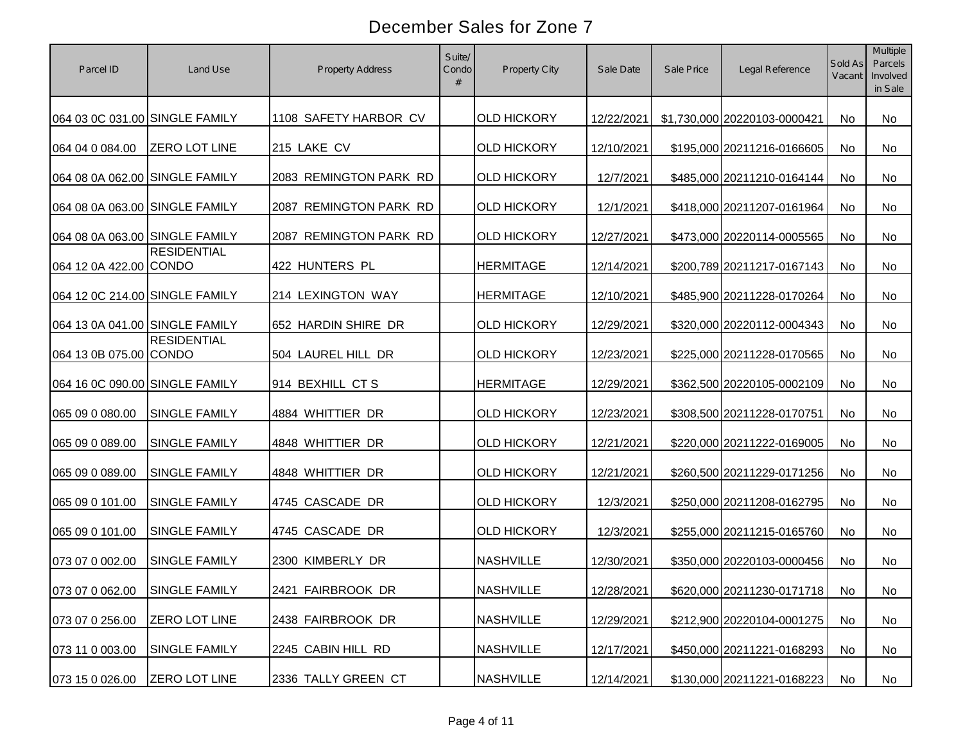| Parcel ID                      | Land Use             | <b>Property Address</b> | Suite/<br>Condo<br># | Property City      | Sale Date  | Sale Price | Legal Reference              | Sold As<br>Vacant | Multiple<br>Parcels<br>Involved<br>in Sale |
|--------------------------------|----------------------|-------------------------|----------------------|--------------------|------------|------------|------------------------------|-------------------|--------------------------------------------|
| 064 03 0C 031.00 SINGLE FAMILY |                      | 1108 SAFETY HARBOR CV   |                      | <b>OLD HICKORY</b> | 12/22/2021 |            | \$1,730,000 20220103-0000421 | No                | No                                         |
| 064 04 0 084.00                | <b>ZERO LOT LINE</b> | 215 LAKE CV             |                      | <b>OLD HICKORY</b> | 12/10/2021 |            | \$195,000 20211216-0166605   | No                | No                                         |
| 064 08 0A 062.00 SINGLE FAMILY |                      | 2083 REMINGTON PARK RD  |                      | <b>OLD HICKORY</b> | 12/7/2021  |            | \$485,000 20211210-0164144   | No                | No                                         |
| 064 08 0A 063.00 SINGLE FAMILY |                      | 2087 REMINGTON PARK RD  |                      | <b>OLD HICKORY</b> | 12/1/2021  |            | \$418,000 20211207-0161964   | <b>No</b>         | No                                         |
| 064 08 0A 063.00 SINGLE FAMILY |                      | 2087 REMINGTON PARK RD  |                      | <b>OLD HICKORY</b> | 12/27/2021 |            | \$473,000 20220114-0005565   | No                | No                                         |
| 064 12 0A 422.00 CONDO         | <b>RESIDENTIAL</b>   | 422 HUNTERS PL          |                      | <b>HERMITAGE</b>   | 12/14/2021 |            | \$200,789 20211217-0167143   | <b>No</b>         | <b>No</b>                                  |
| 064 12 0C 214.00 SINGLE FAMILY |                      | 214 LEXINGTON WAY       |                      | <b>HERMITAGE</b>   | 12/10/2021 |            | \$485,900 20211228-0170264   | No                | No                                         |
| 064 13 0A 041.00 SINGLE FAMILY |                      | 652 HARDIN SHIRE DR     |                      | <b>OLD HICKORY</b> | 12/29/2021 |            | \$320,000 20220112-0004343   | No                | No                                         |
| 064 13 0B 075.00 CONDO         | <b>RESIDENTIAL</b>   | 504 LAUREL HILL DR      |                      | <b>OLD HICKORY</b> | 12/23/2021 |            | \$225,000 20211228-0170565   | No                | No                                         |
| 064 16 0C 090.00 SINGLE FAMILY |                      | 914 BEXHILL CTS         |                      | <b>HERMITAGE</b>   | 12/29/2021 |            | \$362,500 20220105-0002109   | No                | No                                         |
| 065 09 0 080.00                | <b>SINGLE FAMILY</b> | 4884 WHITTIER DR        |                      | <b>OLD HICKORY</b> | 12/23/2021 |            | \$308,500 20211228-0170751   | No                | No                                         |
| 065 09 0 089.00                | SINGLE FAMILY        | 4848 WHITTIER DR        |                      | <b>OLD HICKORY</b> | 12/21/2021 |            | \$220,000 20211222-0169005   | No                | No                                         |
| 065 09 0 089.00                | SINGLE FAMILY        | 4848 WHITTIER DR        |                      | <b>OLD HICKORY</b> | 12/21/2021 |            | \$260,500 20211229-0171256   | <b>No</b>         | No                                         |
| 065 09 0 101.00                | SINGLE FAMILY        | 4745 CASCADE DR         |                      | <b>OLD HICKORY</b> | 12/3/2021  |            | \$250,000 20211208-0162795   | <b>No</b>         | No                                         |
| 065 09 0 101.00                | <b>SINGLE FAMILY</b> | 4745 CASCADE DR         |                      | <b>OLD HICKORY</b> | 12/3/2021  |            | \$255,000 20211215-0165760   | No                | No                                         |
| 073 07 0 002.00                | <b>SINGLE FAMILY</b> | 2300 KIMBERLY DR        |                      | <b>NASHVILLE</b>   | 12/30/2021 |            | \$350,000 20220103-0000456   | No                | No                                         |
| 073 07 0 062.00 SINGLE FAMILY  |                      | 2421 FAIRBROOK DR       |                      | <b>NASHVILLE</b>   | 12/28/2021 |            | \$620,000 20211230-0171718   | No                | No                                         |
| 073 07 0 256.00                | ZERO LOT LINE        | 2438 FAIRBROOK DR       |                      | <b>NASHVILLE</b>   | 12/29/2021 |            | \$212,900 20220104-0001275   | No                | No                                         |
| 073 11 0 003.00                | SINGLE FAMILY        | 2245 CABIN HILL RD      |                      | <b>NASHVILLE</b>   | 12/17/2021 |            | \$450,000 20211221-0168293   | No                | No                                         |
| 073 15 0 026.00                | <b>ZERO LOT LINE</b> | 2336 TALLY GREEN CT     |                      | <b>NASHVILLE</b>   | 12/14/2021 |            | \$130,000 20211221-0168223   | No                | No                                         |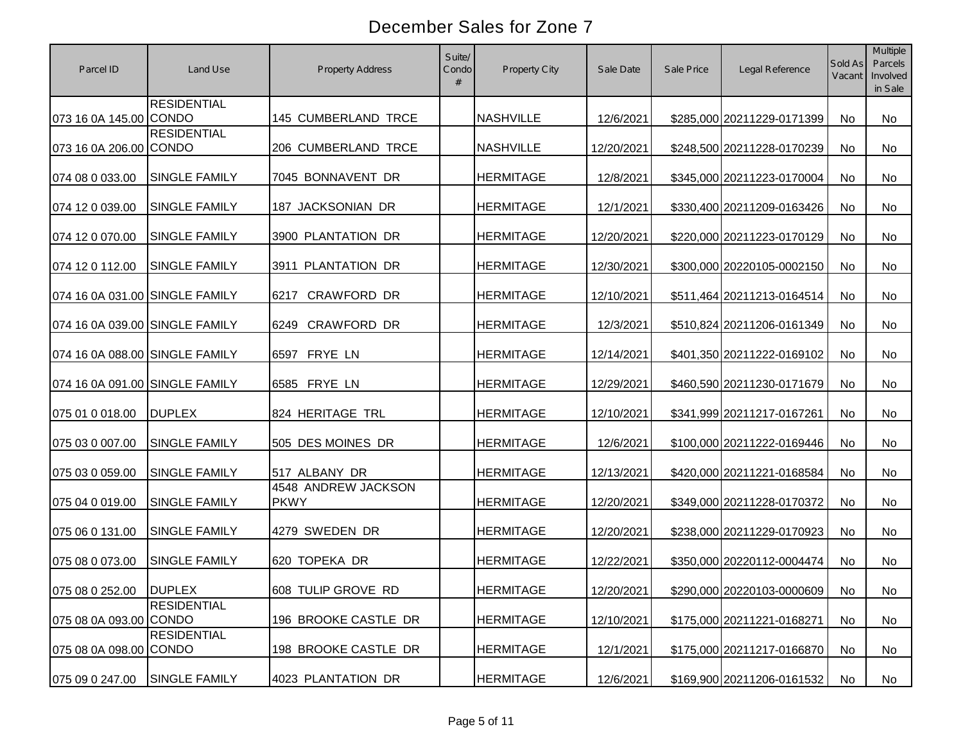| Parcel ID                      | Land Use             | <b>Property Address</b>            | Suite/<br>Condo<br># | Property City    | Sale Date  | Sale Price | Legal Reference            | Sold As<br>Vacant | <b>Multiple</b><br>Parcels<br>Involved<br>in Sale |
|--------------------------------|----------------------|------------------------------------|----------------------|------------------|------------|------------|----------------------------|-------------------|---------------------------------------------------|
| 073 16 0A 145.00 CONDO         | <b>RESIDENTIAL</b>   | 145 CUMBERLAND TRCE                |                      | <b>NASHVILLE</b> | 12/6/2021  |            | \$285,000 20211229-0171399 | No                | No.                                               |
| 073 16 0A 206.00 CONDO         | <b>RESIDENTIAL</b>   | 206 CUMBERLAND TRCE                |                      | <b>NASHVILLE</b> | 12/20/2021 |            | \$248,500 20211228-0170239 | <b>No</b>         | No                                                |
| 074 08 0 033.00                | <b>SINGLE FAMILY</b> | 7045 BONNAVENT DR                  |                      | <b>HERMITAGE</b> | 12/8/2021  |            | \$345,000 20211223-0170004 | No                | No                                                |
| 074 12 0 039.00                | <b>SINGLE FAMILY</b> | 187 JACKSONIAN DR                  |                      | <b>HERMITAGE</b> | 12/1/2021  |            | \$330,400 20211209-0163426 | No                | No                                                |
| 074 12 0 070.00                | <b>SINGLE FAMILY</b> | 3900 PLANTATION DR                 |                      | <b>HERMITAGE</b> | 12/20/2021 |            | \$220,000 20211223-0170129 | <b>No</b>         | No                                                |
| 074 12 0 112.00                | <b>SINGLE FAMILY</b> | 3911 PLANTATION DR                 |                      | <b>HERMITAGE</b> | 12/30/2021 |            | \$300,000 20220105-0002150 | No                | No                                                |
| 074 16 0A 031.00 SINGLE FAMILY |                      | <b>CRAWFORD DR</b><br>6217         |                      | <b>HERMITAGE</b> | 12/10/2021 |            | \$511,464 20211213-0164514 | No                | No                                                |
| 074 16 0A 039.00 SINGLE FAMILY |                      | CRAWFORD DR<br>6249                |                      | <b>HERMITAGE</b> | 12/3/2021  |            | \$510,824 20211206-0161349 | <b>No</b>         | <b>No</b>                                         |
| 074 16 0A 088.00 SINGLE FAMILY |                      | FRYE LN<br>6597                    |                      | <b>HERMITAGE</b> | 12/14/2021 |            | \$401,350 20211222-0169102 | <b>No</b>         | No                                                |
| 074 16 0A 091.00 SINGLE FAMILY |                      | 6585 FRYE LN                       |                      | <b>HERMITAGE</b> | 12/29/2021 |            | \$460,590 20211230-0171679 | <b>No</b>         | No                                                |
| 075 01 0 018.00                | <b>DUPLEX</b>        | 824 HERITAGE TRL                   |                      | <b>HERMITAGE</b> | 12/10/2021 |            | \$341,999 20211217-0167261 | <b>No</b>         | No                                                |
| 075 03 0 007.00                | <b>SINGLE FAMILY</b> | 505 DES MOINES DR                  |                      | <b>HERMITAGE</b> | 12/6/2021  |            | \$100,000 20211222-0169446 | No                | No                                                |
| 075 03 0 059.00                | SINGLE FAMILY        | 517 ALBANY DR                      |                      | <b>HERMITAGE</b> | 12/13/2021 |            | \$420,000 20211221-0168584 | No                | No                                                |
| 075 04 0 019.00                | SINGLE FAMILY        | 4548 ANDREW JACKSON<br><b>PKWY</b> |                      | <b>HERMITAGE</b> | 12/20/2021 |            | \$349,000 20211228-0170372 | <b>No</b>         | No                                                |
| 075 06 0 131.00                | <b>SINGLE FAMILY</b> | 4279 SWEDEN DR                     |                      | <b>HERMITAGE</b> | 12/20/2021 |            | \$238,000 20211229-0170923 | <b>No</b>         | No.                                               |
| 075 08 0 073.00                | <b>SINGLE FAMILY</b> | 620 TOPEKA DR                      |                      | <b>HERMITAGE</b> | 12/22/2021 |            | \$350,000 20220112-0004474 | <b>No</b>         | No                                                |
| 075 08 0 252.00 DUPLEX         |                      | 608 TULIP GROVE RD                 |                      | <b>HERMITAGE</b> | 12/20/2021 |            | \$290,000 20220103-0000609 | No                | No                                                |
| 075 08 0A 093.00 CONDO         | <b>RESIDENTIAL</b>   | 196 BROOKE CASTLE DR               |                      | <b>HERMITAGE</b> | 12/10/2021 |            | \$175,000 20211221-0168271 | No                | No                                                |
| 075 08 0A 098.00 CONDO         | <b>RESIDENTIAL</b>   | 198 BROOKE CASTLE DR               |                      | <b>HERMITAGE</b> | 12/1/2021  |            | \$175,000 20211217-0166870 | No                | No                                                |
| 075 09 0 247.00                | <b>SINGLE FAMILY</b> | 4023 PLANTATION DR                 |                      | <b>HERMITAGE</b> | 12/6/2021  |            | \$169,900 20211206-0161532 | No                | No                                                |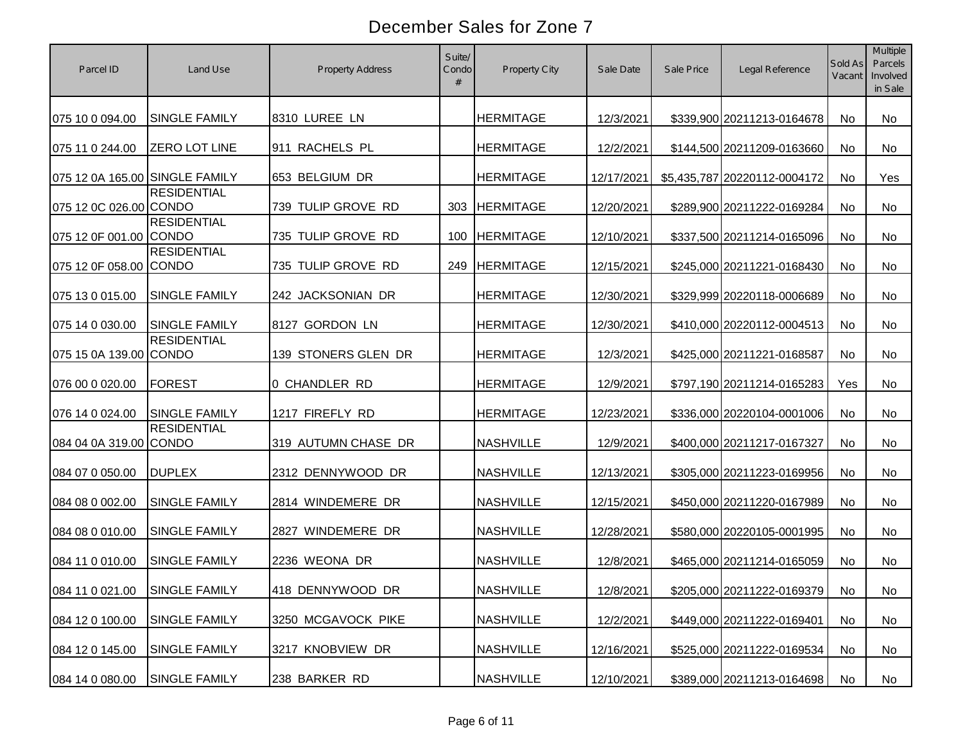| Parcel ID                      | Land Use             | <b>Property Address</b> | Suite/<br>Condo<br># | Property City    | Sale Date  | Sale Price | Legal Reference              | Sold As<br>Vacant | <b>Multiple</b><br>Parcels<br>Involved<br>in Sale |
|--------------------------------|----------------------|-------------------------|----------------------|------------------|------------|------------|------------------------------|-------------------|---------------------------------------------------|
| 075 10 0 094.00                | <b>SINGLE FAMILY</b> | 8310 LUREE LN           |                      | <b>HERMITAGE</b> | 12/3/2021  |            | \$339,900 20211213-0164678   | No                | No                                                |
| 075 11 0 244.00                | <b>ZERO LOT LINE</b> | 911 RACHELS PL          |                      | <b>HERMITAGE</b> | 12/2/2021  |            | \$144,500 20211209-0163660   | <b>No</b>         | No                                                |
| 075 12 0A 165.00 SINGLE FAMILY |                      | 653 BELGIUM DR          |                      | <b>HERMITAGE</b> | 12/17/2021 |            | \$5,435,787 20220112-0004172 | No                | Yes                                               |
| 075 12 0C 026.00 CONDO         | <b>RESIDENTIAL</b>   | 739 TULIP GROVE RD      | 303                  | <b>HERMITAGE</b> | 12/20/2021 |            | \$289,900 20211222-0169284   | No                | No                                                |
| 075 12 0F 001.00 CONDO         | <b>RESIDENTIAL</b>   | 735 TULIP GROVE RD      | 100                  | <b>HERMITAGE</b> | 12/10/2021 |            | \$337,500 20211214-0165096   | <b>No</b>         | <b>No</b>                                         |
| 075 12 0F 058.00 CONDO         | <b>RESIDENTIAL</b>   | 735 TULIP GROVE RD      | 249                  | <b>HERMITAGE</b> | 12/15/2021 |            | \$245,000 20211221-0168430   | <b>No</b>         | No                                                |
| 075 13 0 015.00                | <b>SINGLE FAMILY</b> | 242 JACKSONIAN DR       |                      | <b>HERMITAGE</b> | 12/30/2021 |            | \$329,999 20220118-0006689   | <b>No</b>         | No                                                |
| 075 14 0 030.00                | <b>SINGLE FAMILY</b> | 8127 GORDON LN          |                      | <b>HERMITAGE</b> | 12/30/2021 |            | \$410,000 20220112-0004513   | No                | No                                                |
| 075 15 0A 139.00 CONDO         | <b>RESIDENTIAL</b>   | 139 STONERS GLEN DR     |                      | <b>HERMITAGE</b> | 12/3/2021  |            | \$425,000 20211221-0168587   | No                | No                                                |
| 076 00 0 020.00                | <b>FOREST</b>        | 0 CHANDLER RD           |                      | <b>HERMITAGE</b> | 12/9/2021  |            | \$797,190 20211214-0165283   | Yes               | No                                                |
| 076 14 0 024.00                | <b>SINGLE FAMILY</b> | 1217 FIREFLY RD         |                      | <b>HERMITAGE</b> | 12/23/2021 |            | \$336,000 20220104-0001006   | No                | No                                                |
| 084 04 0A 319.00 CONDO         | <b>RESIDENTIAL</b>   | 319 AUTUMN CHASE DR     |                      | <b>NASHVILLE</b> | 12/9/2021  |            | \$400,000 20211217-0167327   | No                | No                                                |
| 084 07 0 050.00                | <b>DUPLEX</b>        | 2312 DENNYWOOD DR       |                      | <b>NASHVILLE</b> | 12/13/2021 |            | \$305,000 20211223-0169956   | No                | No                                                |
| 084 08 0 002.00                | <b>SINGLE FAMILY</b> | 2814 WINDEMERE DR       |                      | <b>NASHVILLE</b> | 12/15/2021 |            | \$450,000 20211220-0167989   | No                | No                                                |
| 084 08 0 010.00                | <b>SINGLE FAMILY</b> | 2827 WINDEMERE DR       |                      | <b>NASHVILLE</b> | 12/28/2021 |            | \$580,000 20220105-0001995   | No                | No                                                |
| 084 11 0 010.00                | <b>SINGLE FAMILY</b> | 2236 WEONA DR           |                      | <b>NASHVILLE</b> | 12/8/2021  |            | \$465,000 20211214-0165059   | No                | No.                                               |
| 084 11 0 021.00 SINGLE FAMILY  |                      | 418 DENNYWOOD DR        |                      | <b>NASHVILLE</b> | 12/8/2021  |            | \$205,000 20211222-0169379   | No                | No                                                |
| 084 12 0 100.00                | SINGLE FAMILY        | 3250 MCGAVOCK PIKE      |                      | <b>NASHVILLE</b> | 12/2/2021  |            | \$449,000 20211222-0169401   | No                | No                                                |
| 084 12 0 145.00                | SINGLE FAMILY        | 3217 KNOBVIEW DR        |                      | <b>NASHVILLE</b> | 12/16/2021 |            | \$525,000 20211222-0169534   | No                | No                                                |
| 084 14 0 080.00                | SINGLE FAMILY        | 238 BARKER RD           |                      | <b>NASHVILLE</b> | 12/10/2021 |            | \$389,000 20211213-0164698   | No                | No                                                |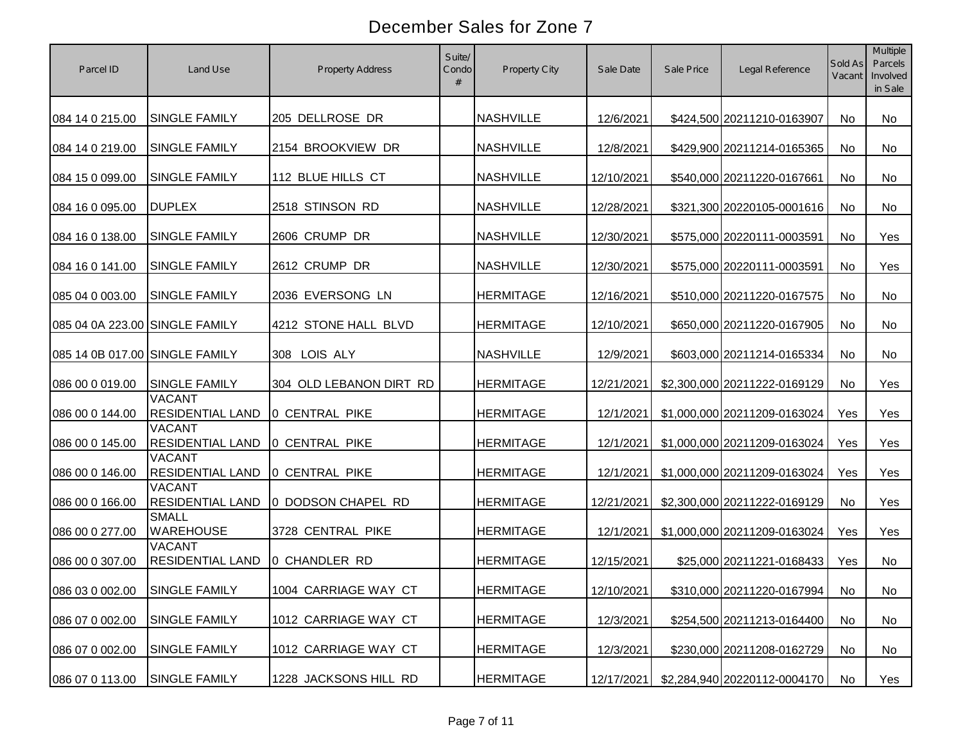| Parcel ID                      | Land Use                                 | Property Address        | Suite/<br>Condo<br># | Property City    | Sale Date  | Sale Price | Legal Reference              | Sold As<br>Vacant | <b>Multiple</b><br>Parcels<br>Involved<br>in Sale |
|--------------------------------|------------------------------------------|-------------------------|----------------------|------------------|------------|------------|------------------------------|-------------------|---------------------------------------------------|
| 084 14 0 215.00                | <b>SINGLE FAMILY</b>                     | 205 DELLROSE DR         |                      | <b>NASHVILLE</b> | 12/6/2021  |            | \$424,500 20211210-0163907   | <b>No</b>         | No                                                |
| 084 14 0 219.00                | <b>SINGLE FAMILY</b>                     | 2154 BROOKVIEW DR       |                      | <b>NASHVILLE</b> | 12/8/2021  |            | \$429,900 20211214-0165365   | No                | No                                                |
| 084 15 0 099.00                | <b>SINGLE FAMILY</b>                     | 112 BLUE HILLS CT       |                      | <b>NASHVILLE</b> | 12/10/2021 |            | \$540,000 20211220-0167661   | <b>No</b>         | No                                                |
| 084 16 0 095.00                | <b>DUPLEX</b>                            | 2518 STINSON RD         |                      | <b>NASHVILLE</b> | 12/28/2021 |            | \$321,300 20220105-0001616   | <b>No</b>         | No                                                |
| 084 16 0 138.00                | <b>SINGLE FAMILY</b>                     | 2606 CRUMP DR           |                      | <b>NASHVILLE</b> | 12/30/2021 |            | \$575,000 20220111-0003591   | No                | Yes                                               |
| 084 16 0 141.00                | <b>SINGLE FAMILY</b>                     | 2612 CRUMP DR           |                      | <b>NASHVILLE</b> | 12/30/2021 |            | \$575,000 20220111-0003591   | <b>No</b>         | Yes                                               |
| 085 04 0 003.00                | <b>SINGLE FAMILY</b>                     | 2036 EVERSONG LN        |                      | <b>HERMITAGE</b> | 12/16/2021 |            | \$510,000 20211220-0167575   | No                | No                                                |
| 085 04 0A 223.00 SINGLE FAMILY |                                          | 4212 STONE HALL BLVD    |                      | <b>HERMITAGE</b> | 12/10/2021 |            | \$650,000 20211220-0167905   | <b>No</b>         | No                                                |
| 085 14 0B 017.00 SINGLE FAMILY |                                          | 308 LOIS ALY            |                      | <b>NASHVILLE</b> | 12/9/2021  |            | \$603,000 20211214-0165334   | No                | No                                                |
| 086 00 0 019.00                | <b>SINGLE FAMILY</b>                     | 304 OLD LEBANON DIRT RD |                      | <b>HERMITAGE</b> | 12/21/2021 |            | \$2,300,000 20211222-0169129 | No                | <b>Yes</b>                                        |
| 086 00 0 144.00                | <b>VACANT</b><br><b>RESIDENTIAL LAND</b> | O CENTRAL PIKE          |                      | <b>HERMITAGE</b> | 12/1/2021  |            | \$1,000,000 20211209-0163024 | Yes               | Yes                                               |
| 086 00 0 145.00                | <b>VACANT</b><br><b>RESIDENTIAL LAND</b> | O CENTRAL PIKE          |                      | <b>HERMITAGE</b> | 12/1/2021  |            | \$1,000,000 20211209-0163024 | Yes               | Yes                                               |
| 086 00 0 146.00                | <b>VACANT</b><br><b>RESIDENTIAL LAND</b> | O CENTRAL PIKE          |                      | <b>HERMITAGE</b> | 12/1/2021  |            | \$1,000,000 20211209-0163024 | Yes               | Yes                                               |
| 086 00 0 166.00                | <b>VACANT</b><br><b>RESIDENTIAL LAND</b> | 0 DODSON CHAPEL RD      |                      | <b>HERMITAGE</b> | 12/21/2021 |            | \$2,300,000 20211222-0169129 | <b>No</b>         | Yes                                               |
| 086 00 0 277.00                | <b>SMALL</b><br><b>WAREHOUSE</b>         | 3728 CENTRAL PIKE       |                      | <b>HERMITAGE</b> | 12/1/2021  |            | \$1,000,000 20211209-0163024 | Yes               | Yes                                               |
| 086 00 0 307.00                | <b>VACANT</b><br><b>RESIDENTIAL LAND</b> | 0 CHANDLER RD           |                      | <b>HERMITAGE</b> | 12/15/2021 |            | \$25,000 20211221-0168433    | Yes               | No                                                |
| 086 03 0 002.00 SINGLE FAMILY  |                                          | 1004 CARRIAGE WAY CT    |                      | <b>HERMITAGE</b> | 12/10/2021 |            | \$310,000 20211220-0167994   | No                | No                                                |
| 086 07 0 002.00                | SINGLE FAMILY                            | 1012 CARRIAGE WAY CT    |                      | <b>HERMITAGE</b> | 12/3/2021  |            | \$254,500 20211213-0164400   | No                | No                                                |
| 086 07 0 002.00                | SINGLE FAMILY                            | 1012 CARRIAGE WAY CT    |                      | <b>HERMITAGE</b> | 12/3/2021  |            | \$230,000 20211208-0162729   | No                | No                                                |
| 086 07 0 113.00                | <b>SINGLE FAMILY</b>                     | 1228 JACKSONS HILL RD   |                      | <b>HERMITAGE</b> | 12/17/2021 |            | \$2,284,940 20220112-0004170 | No                | Yes                                               |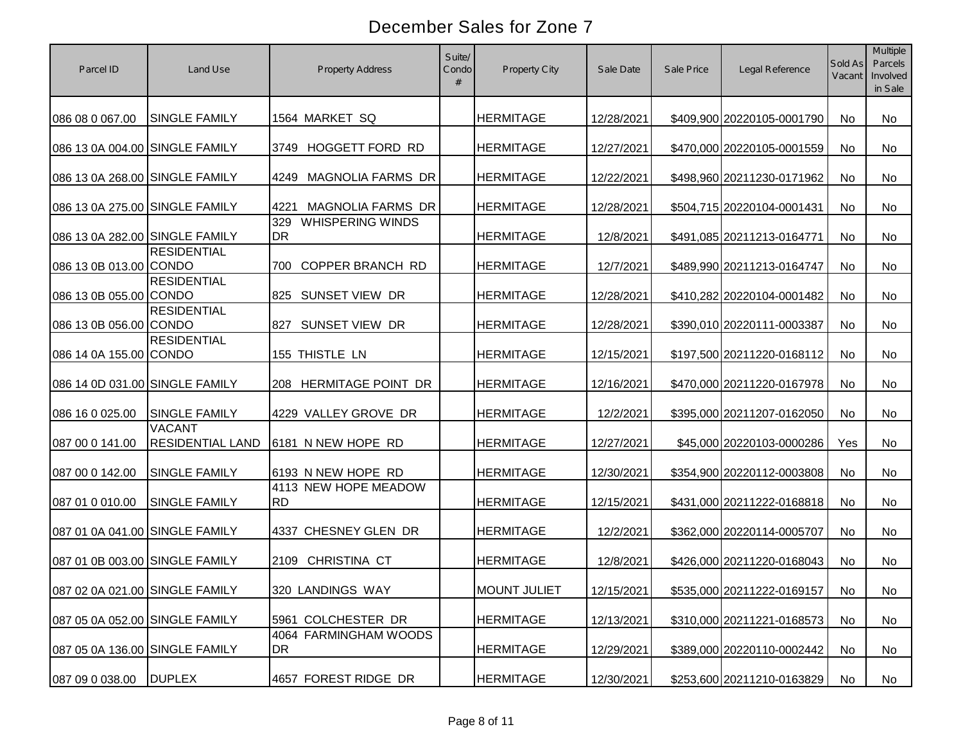| Parcel ID                      | Land Use                                 | <b>Property Address</b>              | Suite/<br>Condo<br># | Property City       | Sale Date  | Sale Price | Legal Reference            | Sold As<br>Vacant | <b>Multiple</b><br>Parcels<br>Involved<br>in Sale |
|--------------------------------|------------------------------------------|--------------------------------------|----------------------|---------------------|------------|------------|----------------------------|-------------------|---------------------------------------------------|
| 086 08 0 067.00                | <b>SINGLE FAMILY</b>                     | 1564 MARKET SQ                       |                      | <b>HERMITAGE</b>    | 12/28/2021 |            | \$409,900 20220105-0001790 | <b>No</b>         | No                                                |
| 086 13 0A 004.00 SINGLE FAMILY |                                          | 3749 HOGGETT FORD RD                 |                      | <b>HERMITAGE</b>    | 12/27/2021 |            | \$470,000 20220105-0001559 | No                | No                                                |
| 086 13 0A 268.00 SINGLE FAMILY |                                          | <b>MAGNOLIA FARMS DR</b><br>4249     |                      | <b>HERMITAGE</b>    | 12/22/2021 |            | \$498,960 20211230-0171962 | <b>No</b>         | No                                                |
| 086 13 0A 275.00 SINGLE FAMILY |                                          | <b>MAGNOLIA FARMS DR</b><br>4221     |                      | <b>HERMITAGE</b>    | 12/28/2021 |            | \$504,715 20220104-0001431 | <b>No</b>         | No                                                |
| 086 13 0A 282.00 SINGLE FAMILY |                                          | 329<br><b>WHISPERING WINDS</b><br>DR |                      | <b>HERMITAGE</b>    | 12/8/2021  |            | \$491,085 20211213-0164771 | No                | No                                                |
| 086 13 0B 013.00 CONDO         | <b>RESIDENTIAL</b>                       | <b>COPPER BRANCH RD</b><br>700       |                      | <b>HERMITAGE</b>    | 12/7/2021  |            | \$489,990 20211213-0164747 | <b>No</b>         | <b>No</b>                                         |
| 086 13 0B 055.00 CONDO         | <b>RESIDENTIAL</b>                       | 825 SUNSET VIEW DR                   |                      | <b>HERMITAGE</b>    | 12/28/2021 |            | \$410,282 20220104-0001482 | <b>No</b>         | No                                                |
| 086 13 0B 056.00 CONDO         | <b>RESIDENTIAL</b>                       | 827<br>SUNSET VIEW DR                |                      | <b>HERMITAGE</b>    | 12/28/2021 |            | \$390,010 20220111-0003387 | <b>No</b>         | No                                                |
| 086 14 0A 155.00 CONDO         | <b>RESIDENTIAL</b>                       | 155 THISTLE LN                       |                      | <b>HERMITAGE</b>    | 12/15/2021 |            | \$197,500 20211220-0168112 | <b>No</b>         | No                                                |
| 086 14 0D 031.00 SINGLE FAMILY |                                          | <b>HERMITAGE POINT DR</b><br>208     |                      | <b>HERMITAGE</b>    | 12/16/2021 |            | \$470,000 20211220-0167978 | No                | <b>No</b>                                         |
| 086 16 0 025.00                | <b>SINGLE FAMILY</b>                     | 4229 VALLEY GROVE DR                 |                      | <b>HERMITAGE</b>    | 12/2/2021  |            | \$395,000 20211207-0162050 | No                | No                                                |
| 087 00 0 141.00                | <b>VACANT</b><br><b>RESIDENTIAL LAND</b> | 6181 N NEW HOPE RD                   |                      | <b>HERMITAGE</b>    | 12/27/2021 |            | \$45,000 20220103-0000286  | Yes               | No                                                |
| 087 00 0 142.00                | <b>SINGLE FAMILY</b>                     | 6193 N NEW HOPE RD                   |                      | <b>HERMITAGE</b>    | 12/30/2021 |            | \$354,900 20220112-0003808 | <b>No</b>         | No                                                |
| 087 01 0 010.00                | <b>SINGLE FAMILY</b>                     | 4113 NEW HOPE MEADOW<br><b>RD</b>    |                      | <b>HERMITAGE</b>    | 12/15/2021 |            | \$431,000 20211222-0168818 | <b>No</b>         | No                                                |
| 087 01 0A 041.00 SINGLE FAMILY |                                          | 4337 CHESNEY GLEN DR                 |                      | <b>HERMITAGE</b>    | 12/2/2021  |            | \$362,000 20220114-0005707 | <b>No</b>         | No                                                |
| 087 01 0B 003.00 SINGLE FAMILY |                                          | CHRISTINA CT<br>2109                 |                      | <b>HERMITAGE</b>    | 12/8/2021  |            | \$426,000 20211220-0168043 | No                | No.                                               |
| 087 02 0A 021.00 SINGLE FAMILY |                                          | 320 LANDINGS WAY                     |                      | <b>MOUNT JULIET</b> | 12/15/2021 |            | \$535,000 20211222-0169157 | No                | No                                                |
| 087 05 0A 052.00 SINGLE FAMILY |                                          | 5961 COLCHESTER DR                   |                      | <b>HERMITAGE</b>    | 12/13/2021 |            | \$310,000 20211221-0168573 | No                | No                                                |
| 087 05 0A 136.00 SINGLE FAMILY |                                          | 4064 FARMINGHAM WOODS<br>DR          |                      | <b>HERMITAGE</b>    | 12/29/2021 |            | \$389,000 20220110-0002442 | No                | No                                                |
| 087 09 0 038.00                | <b>DUPLEX</b>                            | 4657 FOREST RIDGE DR                 |                      | <b>HERMITAGE</b>    | 12/30/2021 |            | \$253,600 20211210-0163829 | No                | No                                                |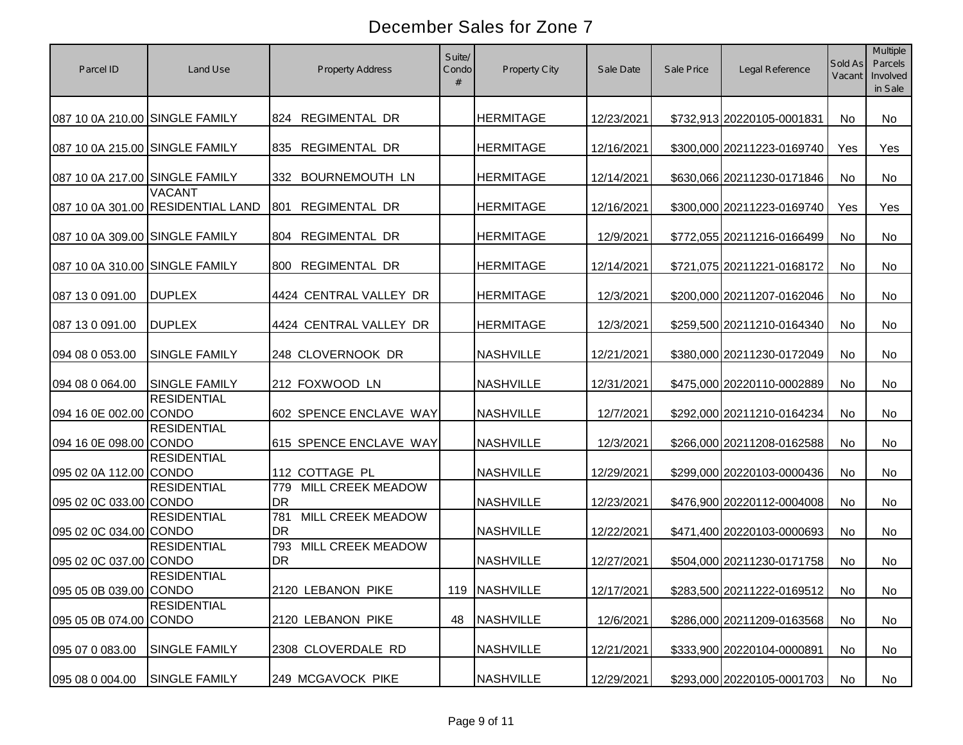| Parcel ID                      | Land Use                                           | <b>Property Address</b>               | Suite/<br>Condo<br># | <b>Property City</b> | Sale Date  | Sale Price | Legal Reference            | Sold As<br>Vacant | <b>Multiple</b><br>Parcels<br>Involved<br>in Sale |
|--------------------------------|----------------------------------------------------|---------------------------------------|----------------------|----------------------|------------|------------|----------------------------|-------------------|---------------------------------------------------|
| 087 10 0A 210.00 SINGLE FAMILY |                                                    | 824 REGIMENTAL DR                     |                      | <b>HERMITAGE</b>     | 12/23/2021 |            | \$732,913 20220105-0001831 | <b>No</b>         | No                                                |
| 087 10 0A 215.00 SINGLE FAMILY |                                                    | REGIMENTAL DR<br>835                  |                      | <b>HERMITAGE</b>     | 12/16/2021 |            | \$300,000 20211223-0169740 | Yes               | Yes                                               |
| 087 10 0A 217.00 SINGLE FAMILY |                                                    | <b>BOURNEMOUTH LN</b><br>332          |                      | <b>HERMITAGE</b>     | 12/14/2021 |            | \$630,066 20211230-0171846 | <b>No</b>         | No                                                |
|                                | <b>VACANT</b><br>087 10 0A 301.00 RESIDENTIAL LAND | <b>REGIMENTAL DR</b><br>801           |                      | <b>HERMITAGE</b>     | 12/16/2021 |            | \$300,000 20211223-0169740 | Yes               | Yes                                               |
| 087 10 0A 309.00 SINGLE FAMILY |                                                    | REGIMENTAL DR<br>804                  |                      | <b>HERMITAGE</b>     | 12/9/2021  |            | \$772,055 20211216-0166499 | No                | No                                                |
| 087 10 0A 310.00 SINGLE FAMILY |                                                    | <b>REGIMENTAL DR</b><br>800           |                      | <b>HERMITAGE</b>     | 12/14/2021 |            | \$721,075 20211221-0168172 | <b>No</b>         | <b>No</b>                                         |
| 087 13 0 091.00                | <b>DUPLEX</b>                                      | 4424 CENTRAL VALLEY DR                |                      | <b>HERMITAGE</b>     | 12/3/2021  |            | \$200,000 20211207-0162046 | <b>No</b>         | No                                                |
| 087 13 0 091.00                | <b>DUPLEX</b>                                      | 4424 CENTRAL VALLEY DR                |                      | <b>HERMITAGE</b>     | 12/3/2021  |            | \$259,500 20211210-0164340 | <b>No</b>         | No                                                |
| 094 08 0 053.00                | <b>SINGLE FAMILY</b>                               | 248 CLOVERNOOK DR                     |                      | <b>NASHVILLE</b>     | 12/21/2021 |            | \$380,000 20211230-0172049 | <b>No</b>         | No                                                |
| 094 08 0 064.00                | <b>SINGLE FAMILY</b>                               | 212 FOXWOOD LN                        |                      | <b>NASHVILLE</b>     | 12/31/2021 |            | \$475,000 20220110-0002889 | No                | <b>No</b>                                         |
| 094 16 0E 002.00 CONDO         | <b>RESIDENTIAL</b>                                 | 602 SPENCE ENCLAVE WAY                |                      | <b>NASHVILLE</b>     | 12/7/2021  |            | \$292,000 20211210-0164234 | No                | No                                                |
| 094 16 0E 098.00 CONDO         | <b>RESIDENTIAL</b>                                 | 615 SPENCE ENCLAVE WAY                |                      | <b>NASHVILLE</b>     | 12/3/2021  |            | \$266,000 20211208-0162588 | <b>No</b>         | No                                                |
| 095 02 0A 112.00 CONDO         | <b>RESIDENTIAL</b>                                 | 112 COTTAGE PL                        |                      | <b>NASHVILLE</b>     | 12/29/2021 |            | \$299,000 20220103-0000436 | <b>No</b>         | No                                                |
| 095 02 0C 033.00 CONDO         | <b>RESIDENTIAL</b>                                 | 779<br>MILL CREEK MEADOW<br><b>DR</b> |                      | <b>NASHVILLE</b>     | 12/23/2021 |            | \$476,900 20220112-0004008 | <b>No</b>         | No                                                |
| 095 02 0C 034.00 CONDO         | <b>RESIDENTIAL</b>                                 | 781<br>MILL CREEK MEADOW<br><b>DR</b> |                      | <b>NASHVILLE</b>     | 12/22/2021 |            | \$471,400 20220103-0000693 | <b>No</b>         | No                                                |
| 095 02 0C 037.00 CONDO         | <b>RESIDENTIAL</b>                                 | 793<br>MILL CREEK MEADOW<br><b>DR</b> |                      | <b>NASHVILLE</b>     | 12/27/2021 |            | \$504,000 20211230-0171758 | <b>No</b>         | No.                                               |
| 095 05 0B 039.00 CONDO         | <b>RESIDENTIAL</b>                                 | 2120 LEBANON PIKE                     |                      | 119 NASHVILLE        | 12/17/2021 |            | \$283,500 20211222-0169512 | No                | No                                                |
| 095 05 0B 074.00 CONDO         | <b>RESIDENTIAL</b>                                 | 2120 LEBANON PIKE                     | 48                   | <b>NASHVILLE</b>     | 12/6/2021  |            | \$286,000 20211209-0163568 | No                | No                                                |
| 095 07 0 083.00                | <b>SINGLE FAMILY</b>                               | 2308 CLOVERDALE RD                    |                      | <b>NASHVILLE</b>     | 12/21/2021 |            | \$333,900 20220104-0000891 | No                | No                                                |
| 095 08 0 004.00                | <b>SINGLE FAMILY</b>                               | 249 MCGAVOCK PIKE                     |                      | <b>NASHVILLE</b>     | 12/29/2021 |            | \$293,000 20220105-0001703 | No                | No                                                |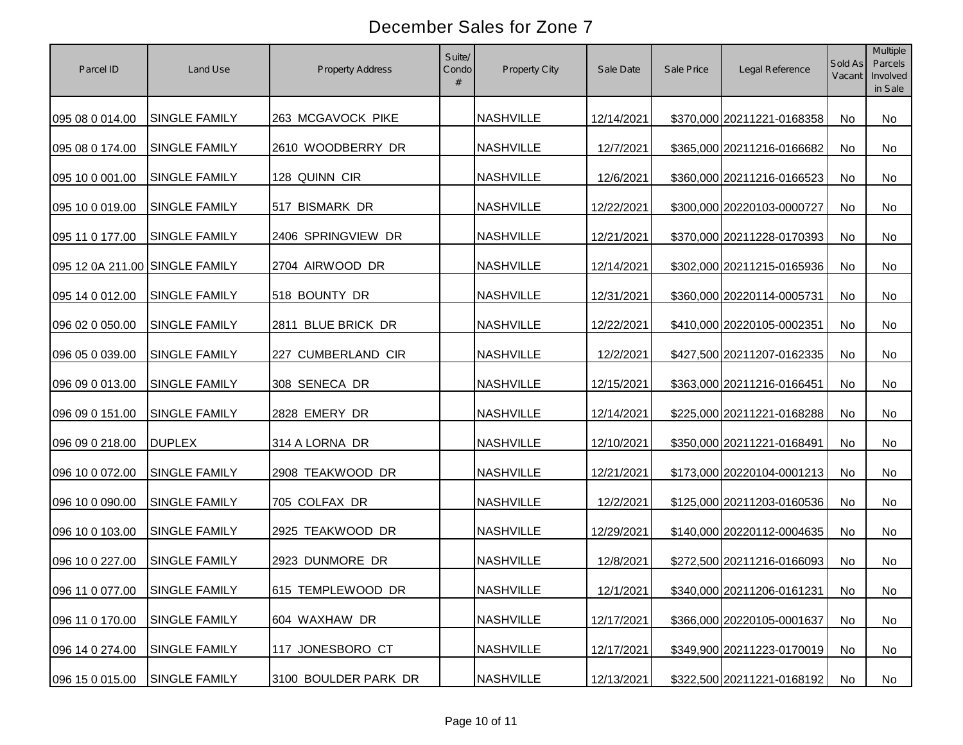| Parcel ID                      | Land Use                      | <b>Property Address</b> | Suite/<br>Condo | Property City    | Sale Date  | Sale Price | Legal Reference            | Sold As<br>Vacant | Multiple<br>Parcels<br>Involved<br>in Sale |
|--------------------------------|-------------------------------|-------------------------|-----------------|------------------|------------|------------|----------------------------|-------------------|--------------------------------------------|
| 095 08 0 014.00                | <b>SINGLE FAMILY</b>          | 263 MCGAVOCK PIKE       |                 | <b>NASHVILLE</b> | 12/14/2021 |            | \$370,000 20211221-0168358 | <b>No</b>         | No                                         |
| 095 08 0 174.00                | SINGLE FAMILY                 | 2610 WOODBERRY DR       |                 | <b>NASHVILLE</b> | 12/7/2021  |            | \$365,000 20211216-0166682 | No                | No                                         |
| 095 10 0 001.00                | SINGLE FAMILY                 | 128 QUINN CIR           |                 | <b>NASHVILLE</b> | 12/6/2021  |            | \$360,000 20211216-0166523 | N <sub>o</sub>    | No                                         |
| 095 10 0 019.00                | SINGLE FAMILY                 | 517 BISMARK DR          |                 | <b>NASHVILLE</b> | 12/22/2021 |            | \$300,000 20220103-0000727 | N <sub>o</sub>    | No                                         |
| 095 11 0 177.00                | SINGLE FAMILY                 | 2406 SPRINGVIEW DR      |                 | <b>NASHVILLE</b> | 12/21/2021 |            | \$370,000 20211228-0170393 | N <sub>o</sub>    | No                                         |
| 095 12 0A 211.00 SINGLE FAMILY |                               | 2704 AIRWOOD DR         |                 | <b>NASHVILLE</b> | 12/14/2021 |            | \$302,000 20211215-0165936 | <b>No</b>         | No                                         |
| 095 14 0 012.00                | SINGLE FAMILY                 | 518 BOUNTY DR           |                 | <b>NASHVILLE</b> | 12/31/2021 |            | \$360,000 20220114-0005731 | <b>No</b>         | No                                         |
| 096 02 0 050.00                | SINGLE FAMILY                 | 2811 BLUE BRICK DR      |                 | <b>NASHVILLE</b> | 12/22/2021 |            | \$410,000 20220105-0002351 | <b>No</b>         | No                                         |
| 096 05 0 039.00                | SINGLE FAMILY                 | 227 CUMBERLAND CIR      |                 | <b>NASHVILLE</b> | 12/2/2021  |            | \$427,500 20211207-0162335 | No                | No                                         |
| 096 09 0 013.00                | SINGLE FAMILY                 | 308 SENECA DR           |                 | <b>NASHVILLE</b> | 12/15/2021 |            | \$363,000 20211216-0166451 | No                | No                                         |
| 096 09 0 151.00                | SINGLE FAMILY                 | 2828 EMERY DR           |                 | <b>NASHVILLE</b> | 12/14/2021 |            | \$225,000 20211221-0168288 | No                | No                                         |
| 096 09 0 218.00                | <b>DUPLEX</b>                 | 314 A LORNA DR          |                 | <b>NASHVILLE</b> | 12/10/2021 |            | \$350,000 20211221-0168491 | No                | No                                         |
| 096 10 0 072.00                | SINGLE FAMILY                 | 2908 TEAKWOOD DR        |                 | <b>NASHVILLE</b> | 12/21/2021 |            | \$173,000 20220104-0001213 | No                | No                                         |
| 096 10 0 090.00                | SINGLE FAMILY                 | 705 COLFAX DR           |                 | <b>NASHVILLE</b> | 12/2/2021  |            | \$125,000 20211203-0160536 | N <sub>o</sub>    | No                                         |
| 096 10 0 103.00                | <b>SINGLE FAMILY</b>          | 2925 TEAKWOOD DR        |                 | <b>NASHVILLE</b> | 12/29/2021 |            | \$140,000 20220112-0004635 | N <sub>o</sub>    | No                                         |
| 096 10 0 227.00                | <b>SINGLE FAMILY</b>          | 2923 DUNMORE DR         |                 | <b>NASHVILLE</b> | 12/8/2021  |            | \$272,500 20211216-0166093 | No                | No                                         |
|                                | 096 11 0 077.00 SINGLE FAMILY | 615 TEMPLEWOOD DR       |                 | <b>NASHVILLE</b> | 12/1/2021  |            | \$340,000 20211206-0161231 | No                | No                                         |
| 096 11 0 170.00                | SINGLE FAMILY                 | 604 WAXHAW DR           |                 | <b>NASHVILLE</b> | 12/17/2021 |            | \$366,000 20220105-0001637 | No                | No                                         |
| 096 14 0 274.00                | SINGLE FAMILY                 | 117 JONESBORO CT        |                 | <b>NASHVILLE</b> | 12/17/2021 |            | \$349,900 20211223-0170019 | No                | No                                         |
| 096 15 0 015.00                | SINGLE FAMILY                 | 3100 BOULDER PARK DR    |                 | <b>NASHVILLE</b> | 12/13/2021 |            | \$322,500 20211221-0168192 | No                | No                                         |